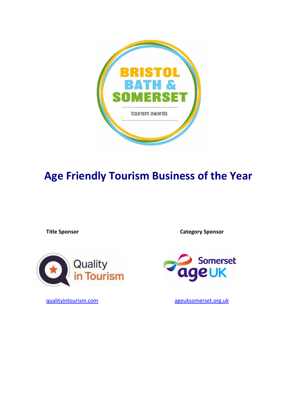

# **Age Friendly Tourism Business of the Year**

**Title Sponsor Category Sponsor** 





[qualityintourism.com](https://qualityintourism.com/) [ageuksomerset.org.uk](http://www.ageuksomerset.org.uk/)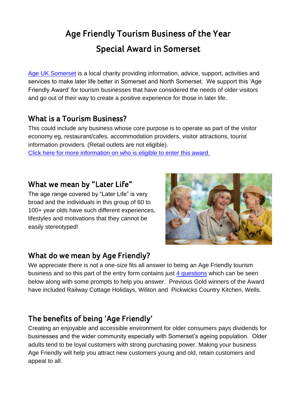# **Age Friendly Tourism Business of the Year Special Award in Somerset**

[Age UK Somerset](https://ageuksomerset.org.uk/) is a local charity providing information, advice, support, activities and services to make later life better in Somerset and North Somerset. We support this 'Age Friendly Award' for tourism businesses that have considered the needs of older visitors and go out of their way to create a positive experience for those in later life.

## **What is a Tourism Business?**

This could include any business whose core purpose is to operate as part of the visitor economy eg, restaurant/cafes, accommodation providers, visitor attractions, tourist information providers. (Retail outlets are not eligible).

[Click here for more information on who is eligible to enter this award.](#page-7-0)

## **What we mean by "Later Life"**

The age range covered by "Later Life" is very broad and the individuals in this group of 60 to 100+ year olds have such different experiences, lifestyles and motivations that they cannot be easily stereotyped!



## **What do we mean by Age Friendly?**

We appreciate there is not a one-size fits all answer to being an Age Friendly tourism business and so this part of the entry form contains just [4 questions](#page-2-0) which can be seen below along with some prompts to help you answer. Previous Gold winners of the Award have included Railway Cottage Holidays, Wiliton and Pickwicks Country Kitchen, Wells.

## **The benefits of being 'Age Friendly'**

Creating an enjoyable and accessible environment for older consumers pays dividends for businesses and the wider community especially with Somerset's ageing population. Older adults tend to be loyal customers with strong purchasing power. Making your business Age Friendly will help you attract new customers young and old, retain customers and appeal to all.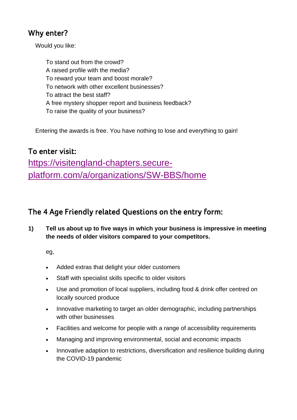## **Why enter?**

Would you like:

To stand out from the crowd? A raised profile with the media? To reward your team and boost morale? To network with other excellent businesses? To attract the best staff? A free mystery shopper report and business feedback? To raise the quality of your business?

Entering the awards is free. You have nothing to lose and everything to gain!

## **To enter visit:**

[https://visitengland-chapters.secure](https://visitengland-chapters.secure-platform.com/a/organizations/SW-BBS/home)[platform.com/a/organizations/SW-BBS/home](https://visitengland-chapters.secure-platform.com/a/organizations/SW-BBS/home)

## <span id="page-2-0"></span>**The 4 Age Friendly related Questions on the entry form:**

**1) Tell us about up to five ways in which your business is impressive in meeting the needs of older visitors compared to your competitors.**

eg,

- Added extras that delight your older customers
- Staff with specialist skills specific to older visitors
- Use and promotion of local suppliers, including food & drink offer centred on locally sourced produce
- Innovative marketing to target an older demographic, including partnerships with other businesses
- Facilities and welcome for people with a range of accessibility requirements
- Managing and improving environmental, social and economic impacts
- Innovative adaption to restrictions, diversification and resilience building during the COVID-19 pandemic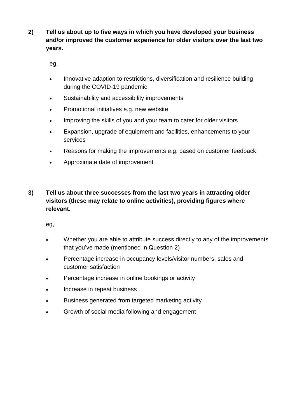**2) Tell us about up to five ways in which you have developed your business and/or improved the customer experience for older visitors over the last two years.**

eg,

- Innovative adaption to restrictions, diversification and resilience building during the COVID-19 pandemic
- Sustainability and accessibility improvements
- Promotional initiatives e.g. new website
- Improving the skills of you and your team to cater for older visitors
- Expansion, upgrade of equipment and facilities, enhancements to your services
- Reasons for making the improvements e.g. based on customer feedback
- Approximate date of improvement
- **3) Tell us about three successes from the last two years in attracting older visitors (these may relate to online activities), providing figures where relevant.**

eg,

- Whether you are able to attribute success directly to any of the improvements that you've made (mentioned in Question 2)
- Percentage increase in occupancy levels/visitor numbers, sales and customer satisfaction
- Percentage increase in online bookings or activity
- Increase in repeat business
- Business generated from targeted marketing activity
- Growth of social media following and engagement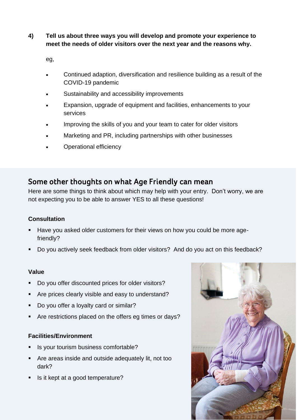### **4) Tell us about three ways you will develop and promote your experience to meet the needs of older visitors over the next year and the reasons why.**

eg,

- Continued adaption, diversification and resilience building as a result of the COVID-19 pandemic
- Sustainability and accessibility improvements
- Expansion, upgrade of equipment and facilities, enhancements to your services
- Improving the skills of you and your team to cater for older visitors
- Marketing and PR, including partnerships with other businesses
- Operational efficiency

## **Some other thoughts on what Age Friendly can mean**

Here are some things to think about which may help with your entry. Don't worry, we are not expecting you to be able to answer YES to all these questions!

### **Consultation**

- Have you asked older customers for their views on how you could be more agefriendly?
- Do you actively seek feedback from older visitors? And do you act on this feedback?

#### **Value**

- Do you offer discounted prices for older visitors?
- Are prices clearly visible and easy to understand?
- Do you offer a loyalty card or similar?
- Are restrictions placed on the offers eg times or days?

#### **Facilities/Environment**

- Is your tourism business comfortable?
- Are areas inside and outside adequately lit, not too dark?
- Is it kept at a good temperature?

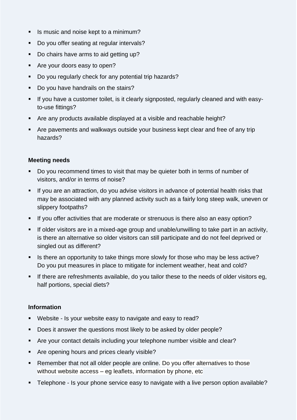- Is music and noise kept to a minimum?
- Do you offer seating at regular intervals?
- Do chairs have arms to aid getting up?
- Are your doors easy to open?
- Do you regularly check for any potential trip hazards?
- Do you have handrails on the stairs?
- If you have a customer toilet, is it clearly signposted, regularly cleaned and with easyto-use fittings?
- Are any products available displayed at a visible and reachable height?
- Are pavements and walkways outside your business kept clear and free of any trip hazards?

#### **Meeting needs**

- Do you recommend times to visit that may be quieter both in terms of number of visitors, and/or in terms of noise?
- **EXT** If you are an attraction, do you advise visitors in advance of potential health risks that may be associated with any planned activity such as a fairly long steep walk, uneven or slippery footpaths?
- **E** If you offer activities that are moderate or strenuous is there also an easy option?
- **E** If older visitors are in a mixed-age group and unable/unwilling to take part in an activity, is there an alternative so older visitors can still participate and do not feel deprived or singled out as different?
- Is there an opportunity to take things more slowly for those who may be less active? Do you put measures in place to mitigate for inclement weather, heat and cold?
- **EXTE:** If there are refreshments available, do you tailor these to the needs of older visitors eg. half portions, special diets?

#### **Information**

- Website Is your website easy to navigate and easy to read?
- Does it answer the questions most likely to be asked by older people?
- Are your contact details including your telephone number visible and clear?
- Are opening hours and prices clearly visible?
- Remember that not all older people are online. Do you offer alternatives to those without website access – eg leaflets, information by phone, etc
- **EXT** Telephone Is your phone service easy to navigate with a live person option available?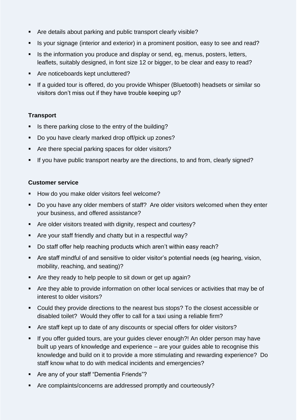- Are details about parking and public transport clearly visible?
- Is your signage (interior and exterior) in a prominent position, easy to see and read?
- **EXTER** Is the information you produce and display or send, eg, menus, posters, letters, leaflets, suitably designed, in font size 12 or bigger, to be clear and easy to read?
- Are noticeboards kept uncluttered?
- If a guided tour is offered, do you provide Whisper (Bluetooth) headsets or similar so visitors don't miss out if they have trouble keeping up?

### **Transport**

- Is there parking close to the entry of the building?
- Do you have clearly marked drop off/pick up zones?
- Are there special parking spaces for older visitors?
- If you have public transport nearby are the directions, to and from, clearly signed?

#### **Customer service**

- How do you make older visitors feel welcome?
- Do you have any older members of staff? Are older visitors welcomed when they enter your business, and offered assistance?
- Are older visitors treated with dignity, respect and courtesy?
- Are your staff friendly and chatty but in a respectful way?
- Do staff offer help reaching products which aren't within easy reach?
- Are staff mindful of and sensitive to older visitor's potential needs (eg hearing, vision, mobility, reaching, and seating)?
- Are they ready to help people to sit down or get up again?
- Are they able to provide information on other local services or activities that may be of interest to older visitors?
- Could they provide directions to the nearest bus stops? To the closest accessible or disabled toilet? Would they offer to call for a taxi using a reliable firm?
- Are staff kept up to date of any discounts or special offers for older visitors?
- **EXT** If you offer guided tours, are your guides clever enough?! An older person may have built up years of knowledge and experience – are your guides able to recognise this knowledge and build on it to provide a more stimulating and rewarding experience? Do staff know what to do with medical incidents and emergencies?
- Are any of your staff "Dementia Friends"?
- Are complaints/concerns are addressed promptly and courteously?